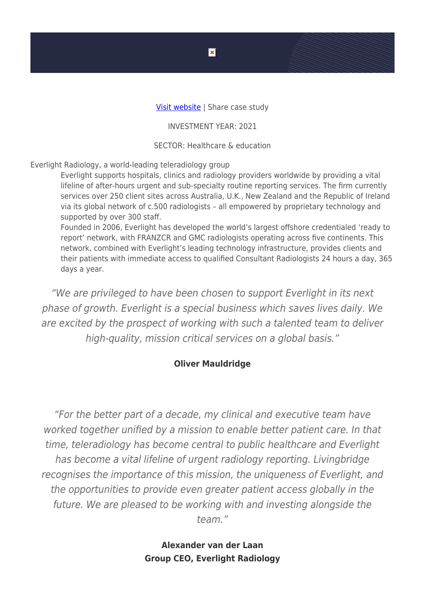## Visit website | Share case study

INVESTMENT YEAR: 2021

SECTOR: Healthcare & education

Everlight Radiology, a world-leading teleradiology group

Everlight supports hospitals, clinics and radiology providers worldwide by providing a vital lifeline of after-hours urgent and sub-specialty routine reporting services. The firm currently services over 250 client sites across Australia, U.K., New Zealand and the Republic of Ireland via its global network of c.500 radiologists – all empowered by proprietary technology and supported by over 300 staff.

Founded in 2006, Everlight has developed the world's largest offshore credentialed 'ready to report' network, with FRANZCR and GMC radiologists operating across five continents. This network, combined with Everlight's leading technology infrastructure, provides clients and their patients with immediate access to qualified Consultant Radiologists 24 hours a day, 365 days a year.

"We are privileged to have been chosen to support Everlight in its next phase of growth. Everlight is a special business which saves lives daily. We are excited by the prospect of working with such a talented team to deliver high-quality, mission critical services on a global basis."

## **Oliver Mauldridge**

"For the better part of a decade, my clinical and executive team have worked together unified by a mission to enable better patient care. In that time, teleradiology has become central to public healthcare and Everlight has become a vital lifeline of urgent radiology reporting. Livingbridge recognises the importance of this mission, the uniqueness of Everlight, and the opportunities to provide even greater patient access globally in the future. We are pleased to be working with and investing alongside the team."

> **Alexander van der Laan Group CEO, Everlight Radiology**